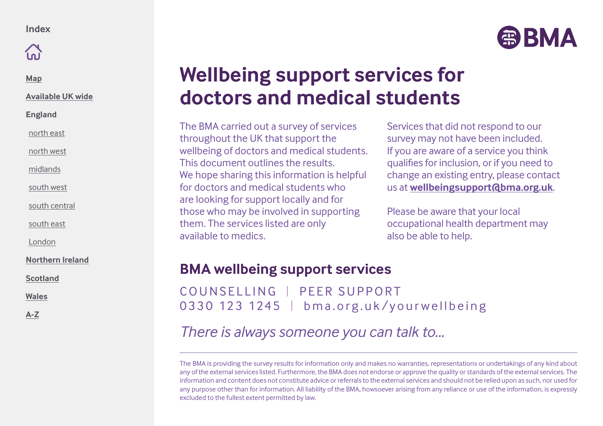

**[Map](#page-1-0)**

**[Available UK wide](#page-2-0)**

**England**

[north east](#page-3-0)

[north west](#page-4-0)

[midlands](#page-5-0)

[south west](#page-6-0)

[south central](#page-7-0)

[south east](#page-8-0)

[London](#page-9-0)

**[Northern Ireland](#page-10-0)**

**[Scotland](#page-11-0)**

**[Wales](#page-12-0)**

**[A-Z](#page-13-0)**

# **Wellbeing support services for doctors and medical students**

The BMA carried out a survey of services throughout the UK that support the wellbeing of doctors and medical students. This document outlines the results. We hope sharing this information is helpful for doctors and medical students who are looking for support locally and for those who may be involved in supporting them. The services listed are only available to medics.

Services that did not respond to our survey may not have been included. If you are aware of a service you think qualifies for inclusion, or if you need to change an existing entry, please contact us at **wellbeingsupport@bma.org.uk**.

Please be aware that your local occupational health department may also be able to help.

### **BMA wellbeing support services**

COUNSELLING | PEER SUPPORT 0330 123 1245 | bma.org.uk/yourwellbeing

*There is always someone you can talk to...*

The BMA is providing the survey results for information only and makes no warranties, representations or undertakings of any kind about any of the external services listed. Furthermore, the BMA does not endorse or approve the quality or standards of the external services. The information and content does not constitute advice or referrals to the external services and should not be relied upon as such, nor used for any purpose other than for information. All liability of the BMA, howsoever arising from any reliance or use of the information, is expressly excluded to the fullest extent permitted by law.

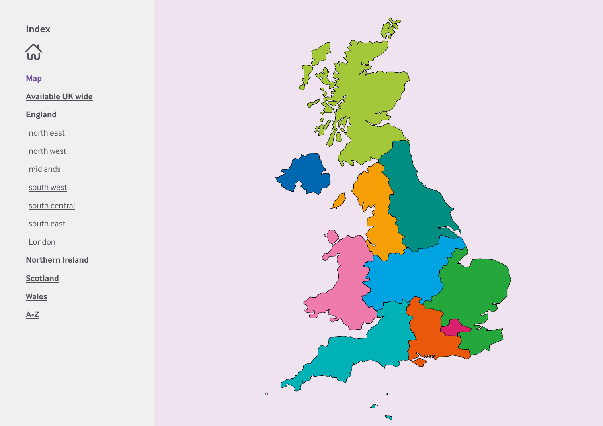<span id="page-1-0"></span> $\mathfrak{D}$ 

**Map**

**[Available UK wide](#page-2-0)**

**England**

[north east](#page-3-0)

[north west](#page-4-0)

[midlands](#page-5-0)

[south west](#page-6-0)

[south central](#page-7-0)

[south east](#page-8-0)

[London](#page-9-0)

**[Northern Ireland](#page-10-0)**

**[Scotland](#page-11-0)**

**[Wales](#page-12-0)**

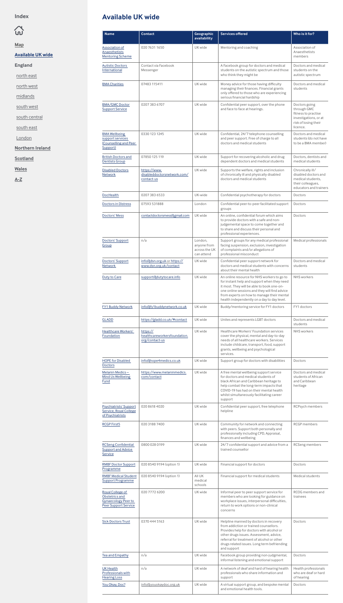# <span id="page-2-0"></span> $\widehat{\omega}$

**[Map](#page-1-0)**

**Available UK wide**

**England**

[north east](#page-3-0)

[north west](#page-4-0)

[midlands](#page-5-0)

[south west](#page-6-0)

[south central](#page-7-0)

[south east](#page-8-0)

[London](#page-9-0)

**[Northern Ireland](#page-10-0)**

**[Scotland](#page-11-0)**

**[Wales](#page-12-0)**

**[A-Z](#page-13-0)**

| <b>Name</b>                                                                                     | <b>Contact</b>                                             | Geographic<br>availability                            | <b>Services offered</b>                                                                                                                                                                                                                                                                | Who is it for?                                                                                                   |
|-------------------------------------------------------------------------------------------------|------------------------------------------------------------|-------------------------------------------------------|----------------------------------------------------------------------------------------------------------------------------------------------------------------------------------------------------------------------------------------------------------------------------------------|------------------------------------------------------------------------------------------------------------------|
| Association of<br>Anaesthetists<br><b>Mentoring Scheme</b>                                      | 020 7631 1650                                              | UK wide                                               | Mentoring and coaching                                                                                                                                                                                                                                                                 | Association of<br>Anaesthetists<br>members                                                                       |
| <b>Autistic Doctors</b><br>International                                                        | Contact via Facebook<br>Messenger                          |                                                       | A Facebook group for doctors and medical<br>students on the autistic spectrum and those<br>who think they might be                                                                                                                                                                     | Doctors and medical<br>students on the<br>autistic spectrum                                                      |
| <b>BMA Charities</b>                                                                            | 07483 115411                                               | UK wide                                               | Money advice for those having difficulty<br>managing their finances. Financial grants<br>only offered to those who are experiencing<br>serious financial hardship                                                                                                                      | Doctors and medical<br>students                                                                                  |
| <b>BMA/GMC Doctor</b><br><b>Support Service</b>                                                 | 0207 383 6707                                              | UK wide                                               | Confidential peer support, over the phone<br>and face to face at hearings.                                                                                                                                                                                                             | Doctors going<br>through GMC<br>fitness to practise<br>investigations, or at<br>risk of losing their<br>licence. |
| <b>BMA Wellbeing</b><br>support services<br>(Counselling and Peer<br>Support)                   | 0330 123 1245                                              | UK wide                                               | Confidential, 24/7 telephone counselling<br>and peer support. Free of charge to all<br>doctors and medical students                                                                                                                                                                    | Doctors and medical<br>students (do not have<br>to be a BMA member)                                              |
| <b>British Doctors and</b><br><b>Dentists Group</b>                                             | 07850 125 119                                              | UK wide                                               | Support for recovering alcoholic and drug<br>dependent doctors and medical students                                                                                                                                                                                                    | Doctors, dentists and<br>medical students                                                                        |
| <b>Disabled Doctors</b><br><b>Network</b>                                                       | https://www.<br>disableddoctorsnetwork.com/<br>contact-us  | UK wide                                               | Supports the welfare, rights and inclusion<br>of chronically ill and physically disabled<br>doctors and medical students                                                                                                                                                               | Chronically ill/<br>disabled doctors and<br>medical students,<br>their colleagues,<br>educators and trainers     |
| <b>DocHealth</b>                                                                                | 0207 383 6533                                              | UK-wide                                               | Confidential psychotherapy for doctors                                                                                                                                                                                                                                                 | Doctors                                                                                                          |
| <b>Doctors in Distress</b>                                                                      | 07593 531888                                               | London                                                | Confidential peer-to-peer facilitated support<br>groups                                                                                                                                                                                                                                | Doctors                                                                                                          |
| Doctors' Mess                                                                                   | contactdoctorsmess@gmail.com                               | UK wide                                               | An online, confidential forum which aims<br>to provide doctors with a safe and non-<br>judgemental space to come together and<br>to share and discuss their personal and<br>professional experiences.                                                                                  | <b>Doctors</b>                                                                                                   |
| Doctors' Support<br>Group                                                                       | n/a                                                        | London,<br>anyone from<br>across the UK<br>can attend | Support groups for any medical professional<br>facing suspension, exclusion, investigation<br>of complaints and/or allegations of<br>professional misconduct                                                                                                                           | Medical professionals                                                                                            |
| Doctors' Support<br><b>Network</b>                                                              | info@dsn.org.uk or https://<br>www.dsn.org.uk/contact      | UK wide                                               | Confidential peer support network for<br>doctors and medical students with concerns<br>about their mental health                                                                                                                                                                       | Doctors and medical<br>students                                                                                  |
| Duty to Care                                                                                    | support@dutytocare.info                                    | UK wide                                               | An online resource for NHS workers to go to<br>for instant help and support when they need<br>it most. They will be able to book one-on-<br>one online sessions and they will find advice<br>from experts on how to manage their mental<br>health independently on a day to day level. | NHS workers                                                                                                      |
| <b>FY1 Buddy Network</b>                                                                        | info@fy1buddynetwork.co.uk                                 | UK wide                                               | Buddy/mentoring service for FY1 doctors                                                                                                                                                                                                                                                | FY1 doctors                                                                                                      |
| <b>GLADD</b>                                                                                    | https://gladd.co.uk/#contact                               | UK wide                                               | Unites and represents LGBT doctors                                                                                                                                                                                                                                                     | Doctors and medical<br>students                                                                                  |
| Healthcare Workers'<br>Foundation                                                               | https://<br>healthcareworkersfoundation.<br>org/contact-us | UK wide                                               | Healthcare Workers' Foundation services<br>cover the physical, mental and day-to-day<br>needs of all healthcare workers. Services<br>include childcare, transport, food, support<br>grants, wellbeing and psychological<br>services.                                                   | <b>NHS</b> workers                                                                                               |
|                                                                                                 |                                                            |                                                       |                                                                                                                                                                                                                                                                                        |                                                                                                                  |
| <b>HOPE for Disabled</b><br><b>Doctors</b>                                                      | info@hope4medics.co.uk                                     | UK wide                                               | Support group for doctors with disabilities                                                                                                                                                                                                                                            | Doctors                                                                                                          |
| Melanin Medics-<br>Mind Us Wellbeing<br>Fund                                                    | https://www.melaninmedics.<br>com/contact                  | UK wide                                               | A free mental wellbeing support service<br>for doctors and medical students of<br>black African and Caribbean heritage to<br>help combat the long-term impacts that<br>COVID-19 has had on their mental health<br>whilst simultaneously facilitating career<br>support                 | Doctors and medical<br>students of African<br>and Caribbean<br>heritage                                          |
| Psychiatrists' Support<br>Service, Royal College<br>of Psychiatrists                            | 020 8618 4020                                              | UK wide                                               | Confidential peer support, free telephone<br>helpline                                                                                                                                                                                                                                  | RCPsych members                                                                                                  |
| <b>RCGP First5</b>                                                                              | 020 3188 7400                                              | UK wide                                               | Community for network and connecting<br>with peers. Support both personally and<br>professionally including CPD, Appraisal,<br>finances and wellbeing                                                                                                                                  | <b>RCGP</b> members                                                                                              |
| <b>RCSeng Confidential</b><br><b>Support and Advice</b><br>Service                              | 0800 028 0199                                              | UK wide                                               | 24/7 confidential support and advice from a<br>trained counsellor                                                                                                                                                                                                                      | RCSeng members                                                                                                   |
| <b>RMBF Doctor Support</b><br>Programme                                                         | 020 8540 9194 (option 1)                                   | UK wide                                               | Financial support for doctors                                                                                                                                                                                                                                                          | <b>Doctors</b>                                                                                                   |
| <b>RMBF Medical Student</b><br><b>Support Programme</b>                                         | 020 8540 9194 (option 1)                                   | All UK<br>medical<br>schools                          | Financial support for medical students                                                                                                                                                                                                                                                 | Medical students                                                                                                 |
| Royal College of<br>Obstetrics and<br><b>Gynaecology Peer to</b><br><b>Peer Support Service</b> | 020 7772 6200                                              | UK wide                                               | Informal peer to peer support service for<br>members who are looking for guidance on<br>workplace issues, interpersonal difficulties,<br>return to work options or non-clinical<br>concerns                                                                                            | RCOG members and<br>trainees                                                                                     |
| <b>Sick Doctors Trust</b>                                                                       | 0370 444 5163                                              | UK wide                                               | Helpline manned by doctors in recovery<br>from addiction or trained counsellors.<br>Provides help for doctors with alcohol or<br>other drugs issues. Assessment, advice,<br>referral for treatment of alcohol or other<br>drugs related issues. Long term befriending<br>and support   | <b>Doctors</b>                                                                                                   |
| <b>Tea and Empathy</b>                                                                          | n/a                                                        | UK wide                                               | Facebook group providing non-judgmental,<br>informal listening and emotional support                                                                                                                                                                                                   | <b>Doctors</b>                                                                                                   |
| <b>UK Health</b><br>Professionals with<br><b>Hearing Loss</b>                                   | n/a                                                        | UK wide                                               | A network of deaf and hard of hearing health<br>professionals who share information and<br>support                                                                                                                                                                                     | Health professionals<br>who are deaf or hard<br>of hearing                                                       |

# **Available UK wide**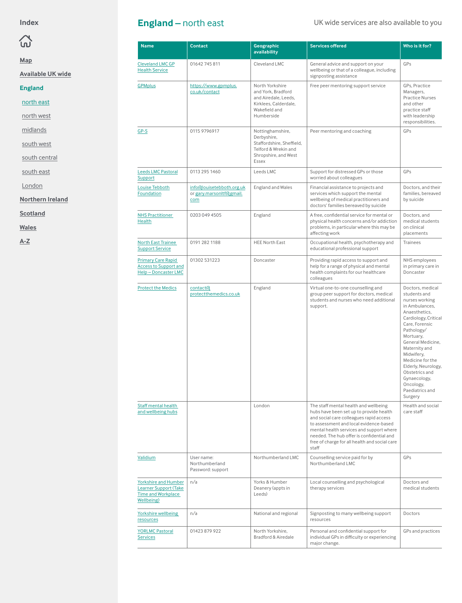# <span id="page-3-0"></span> $\mathfrak{D}$

**[Map](#page-1-0)**

**[Available UK wide](#page-2-0)**

**England**

north east

[north west](#page-4-0)

[midlands](#page-5-0)

[south west](#page-6-0)

[south central](#page-7-0)

[south east](#page-8-0)

[London](#page-9-0)

**[Northern Ireland](#page-10-0)**

**[Scotland](#page-11-0)**

**[Wales](#page-12-0)**

**[A-Z](#page-13-0)**

|  | <b>England</b> – north east |  |
|--|-----------------------------|--|
|--|-----------------------------|--|

### UK wide services are also available to you

| <b>Name</b>                                                                                                    | <b>Contact</b>                                               | Geographic<br>availability                                                                                            | <b>Services offered</b>                                                                                                                                                                                                                                                                                                  | Who is it for?                                                                                                                                                                                                                                                                                                                         |
|----------------------------------------------------------------------------------------------------------------|--------------------------------------------------------------|-----------------------------------------------------------------------------------------------------------------------|--------------------------------------------------------------------------------------------------------------------------------------------------------------------------------------------------------------------------------------------------------------------------------------------------------------------------|----------------------------------------------------------------------------------------------------------------------------------------------------------------------------------------------------------------------------------------------------------------------------------------------------------------------------------------|
| <b>Cleveland LMC GP</b><br><b>Health Service</b>                                                               | 01642745811                                                  | Cleveland LMC                                                                                                         | General advice and support on your<br>wellbeing or that of a colleague, including<br>signposting assistance                                                                                                                                                                                                              | GPs                                                                                                                                                                                                                                                                                                                                    |
| <b>GPMplus</b>                                                                                                 | https://www.gpmplus.<br>co.uk/contact                        | North Yorkshire<br>and York, Bradford<br>and Airedale, Leeds,<br>Kirklees, Calderdale,<br>Wakefield and<br>Humberside | Free peer mentoring support service                                                                                                                                                                                                                                                                                      | GPs, Practice<br>Managers,<br><b>Practice Nurses</b><br>and other<br>practice staff<br>with leadership<br>responsibilities.                                                                                                                                                                                                            |
| $GP-S$                                                                                                         | 0115 9796917                                                 | Nottinghamshire,<br>Derbyshire,<br>Staffordshire, Sheffield,<br>Telford & Wrekin and<br>Shropshire, and West<br>Essex | Peer mentoring and coaching                                                                                                                                                                                                                                                                                              | GPs                                                                                                                                                                                                                                                                                                                                    |
| <b>Leeds LMC Pastoral</b><br>Support                                                                           | 0113 295 1460                                                | Leeds LMC                                                                                                             | Support for distressed GPs or those<br>worried about colleagues                                                                                                                                                                                                                                                          | GPs                                                                                                                                                                                                                                                                                                                                    |
| Louise Tebboth<br>Foundation                                                                                   | info@louisetebboth.org.uk<br>or gary.marsonltf@gmail.<br>com | England and Wales                                                                                                     | Financial assistance to projects and<br>services which support the mental<br>wellbeing of medical practitioners and<br>doctors' families bereaved by suicide                                                                                                                                                             | Doctors, and their<br>families, bereaved<br>by suicide                                                                                                                                                                                                                                                                                 |
| <b>NHS Practitioner</b><br>Health                                                                              | 0203 049 4505                                                | England                                                                                                               | A free, confidential service for mental or<br>physical health concerns and/or addiction<br>problems, in particular where this may be<br>affecting work                                                                                                                                                                   | Doctors, and<br>medical students<br>on clinical<br>placements                                                                                                                                                                                                                                                                          |
| <b>North East Trainee</b><br><b>Support Service</b>                                                            | 0191 282 1188                                                | <b>HEE North East</b>                                                                                                 | Occupational health, psychotherapy and<br>educational professional support                                                                                                                                                                                                                                               | <b>Trainees</b>                                                                                                                                                                                                                                                                                                                        |
| <b>Primary Care Rapid</b><br><b>Access to Support and</b><br>Help-Doncaster LMC                                | 01302 531223                                                 | Doncaster                                                                                                             | Providing rapid access to support and<br>help for a range of physical and mental<br>health complaints for our healthcare<br>colleagues                                                                                                                                                                                   | NHS employees<br>in primary care in<br>Doncaster                                                                                                                                                                                                                                                                                       |
| <b>Protect the Medics</b>                                                                                      | contact <sub>(d</sub><br>protectthemedics.co.uk              | England                                                                                                               | Virtual one-to-one counselling and<br>group peer support for doctors, medical<br>students and nurses who need additional<br>support.                                                                                                                                                                                     | Doctors, medical<br>students and<br>nurses working<br>in Ambulances,<br>Anaesthetics.<br>Cardiology, Critical<br>Care, Forensic<br>Pathology/<br>Mortuary,<br>General Medicine.<br>Maternity and<br>Midwifery,<br>Medicine for the<br>Elderly, Neurology,<br>Obstetrics and<br>Gynaecology,<br>Oncology,<br>Paediatrics and<br>Surgery |
| Staff mental health<br>and wellbeing hubs                                                                      |                                                              | London                                                                                                                | The staff mental health and wellbeing<br>hubs have been set up to provide health<br>and social care colleagues rapid access<br>to assessment and local evidence-based<br>mental health services and support where<br>needed. The hub offer is confidential and<br>free of charge for all health and social care<br>staff | Health and social<br>care staff                                                                                                                                                                                                                                                                                                        |
| Validium                                                                                                       | User name:<br>Northumberland<br>Password: support            | Northumberland LMC                                                                                                    | Counselling service paid for by<br>Northumberland LMC                                                                                                                                                                                                                                                                    | GPs                                                                                                                                                                                                                                                                                                                                    |
| <b>Yorkshire and Humber</b><br><b>Learner Support (Take</b><br><b>Time and Workplace</b><br><b>Wellbeing</b> ) | n/a                                                          | Yorks & Humber<br>Deanery (appts in<br>Leeds)                                                                         | Local counselling and psychological<br>therapy services                                                                                                                                                                                                                                                                  | Doctors and<br>medical students                                                                                                                                                                                                                                                                                                        |
| Yorkshire wellbeing<br>resources                                                                               | n/a                                                          | National and regional                                                                                                 | Signposting to many wellbeing support<br>resources                                                                                                                                                                                                                                                                       | Doctors                                                                                                                                                                                                                                                                                                                                |
| <b>YORLMC Pastoral</b><br><b>Services</b>                                                                      | 01423 879 922                                                | North Yorkshire,<br>Bradford & Airedale                                                                               | Personal and confidential support for<br>individual GPs in difficulty or experiencing<br>major change.                                                                                                                                                                                                                   | GPs and practices                                                                                                                                                                                                                                                                                                                      |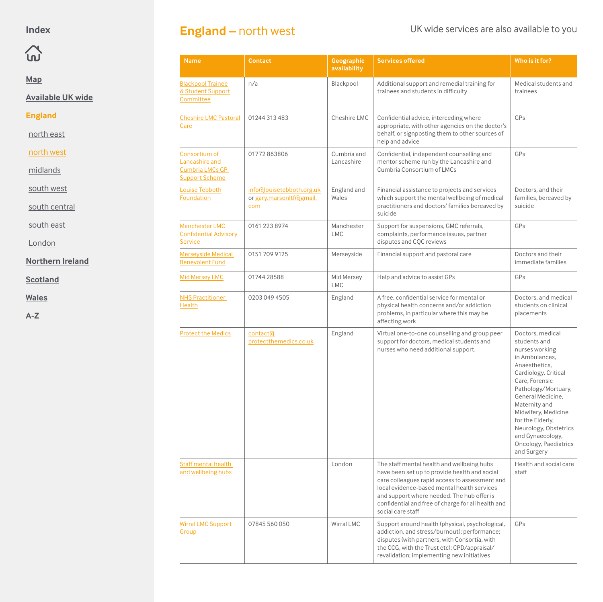### <span id="page-4-0"></span> $\Omega$

#### **[Map](#page-1-0)**

**[Available UK wide](#page-2-0)**

#### **England**

[north east](#page-3-0)

north west

[midlands](#page-5-0)

[south west](#page-6-0)

[south central](#page-7-0)

[south east](#page-8-0)

[London](#page-9-0)

**[Northern Ireland](#page-10-0)**

**[Scotland](#page-11-0)**

**[Wales](#page-12-0)**

**[A-Z](#page-13-0)**

### **England** – north west UK wide services are also available to you

 $\overline{\phantom{a}}$ 

|                                                                             |                                                              | availability              |                                                                                                                                                                  |                                                                                                                                                                             |
|-----------------------------------------------------------------------------|--------------------------------------------------------------|---------------------------|------------------------------------------------------------------------------------------------------------------------------------------------------------------|-----------------------------------------------------------------------------------------------------------------------------------------------------------------------------|
| <b>Blackpool Trainee</b><br>& Student Support<br>Committee                  | n/a                                                          | Blackpool                 | Additional support and remedial training for<br>trainees and students in difficulty                                                                              | Medical students and<br>trainees                                                                                                                                            |
| <b>Cheshire LMC Pastoral</b><br>Care                                        | 01244 313 483                                                | Cheshire LMC              | Confidential advice, interceding where<br>appropriate, with other agencies on the doctor's<br>behalf, or signposting them to other sources of<br>help and advice | GPs                                                                                                                                                                         |
| Consortium of<br>Lancashire and<br>Cumbria LMCs GP<br><b>Support Scheme</b> | 01772863806                                                  | Cumbria and<br>Lancashire | Confidential, independent counselling and<br>mentor scheme run by the Lancashire and<br>Cumbria Consortium of LMCs                                               | GPs                                                                                                                                                                         |
| Louise Tebboth<br>Foundation                                                | info@louisetebboth.org.uk<br>or gary.marsonltf@gmail.<br>com | England and<br>Wales      | Financial assistance to projects and services<br>which support the mental wellbeing of medical<br>practitioners and doctors' families bereaved by<br>suicide     | Doctors, and their<br>families, bereaved by<br>suicide                                                                                                                      |
| <b>Manchester LMC</b><br><b>Confidential Advisory</b><br><b>Service</b>     | 0161 223 8974                                                | Manchester<br><b>LMC</b>  | Support for suspensions, GMC referrals,<br>complaints, performance issues, partner<br>disputes and CQC reviews                                                   | GPs                                                                                                                                                                         |
| <b>Merseyside Medical</b><br><b>Benevolent Fund</b>                         | 0151 709 9125                                                | Merseyside                | Financial support and pastoral care                                                                                                                              | Doctors and their<br>immediate families                                                                                                                                     |
| <b>Mid Mersey LMC</b>                                                       | 01744 28588                                                  | Mid Mersey<br><b>LMC</b>  | Help and advice to assist GPs                                                                                                                                    | GPs                                                                                                                                                                         |
| <b>NHS Practitioner</b><br><b>Health</b>                                    | 0203 049 4505                                                | England                   | A free, confidential service for mental or<br>physical health concerns and/or addiction<br>problems, in particular where this may be<br>affecting work           | Doctors, and medical<br>students on clinical<br>placements                                                                                                                  |
| <b>Protect the Medics</b>                                                   | <b>contact</b> <sup>d</sup><br>protectthemedics.co.uk        | England                   | Virtual one-to-one counselling and group peer<br>support for doctors, medical students and<br>nurses who need additional support.                                | Doctors, medical<br>students and<br>nurses working<br>in Ambulances,<br>Anaesthetics,<br>Cardiology, Critical<br>Care, Forensic<br>Pathology/Mortuary,<br>General Medicine, |

**Name Contact Geographic Services offered Who is it for?**

|                                           |               |            |                                                                                                                                                                                                                                                                                                                       | <b>UCTICIAL MCULLIC.</b><br>Maternity and<br>Midwifery, Medicine<br>for the Elderly,<br>Neurology, Obstetrics<br>and Gynaecology,<br>Oncology, Paediatrics<br>and Surgery |
|-------------------------------------------|---------------|------------|-----------------------------------------------------------------------------------------------------------------------------------------------------------------------------------------------------------------------------------------------------------------------------------------------------------------------|---------------------------------------------------------------------------------------------------------------------------------------------------------------------------|
| Staff mental health<br>and wellbeing hubs |               | London     | The staff mental health and wellbeing hubs<br>have been set up to provide health and social<br>care colleagues rapid access to assessment and<br>local evidence-based mental health services<br>and support where needed. The hub offer is<br>confidential and free of charge for all health and<br>social care staff | Health and social care<br>staff                                                                                                                                           |
| Wirral LMC Support<br>Group               | 07845 560 050 | Wirral LMC | Support around health (physical, psychological,<br>addiction, and stress/burnout); performance;<br>disputes (with partners, with Consortia, with<br>the CCG, with the Trust etc); CPD/appraisal/<br>revalidation; implementing new initiatives                                                                        | GPs                                                                                                                                                                       |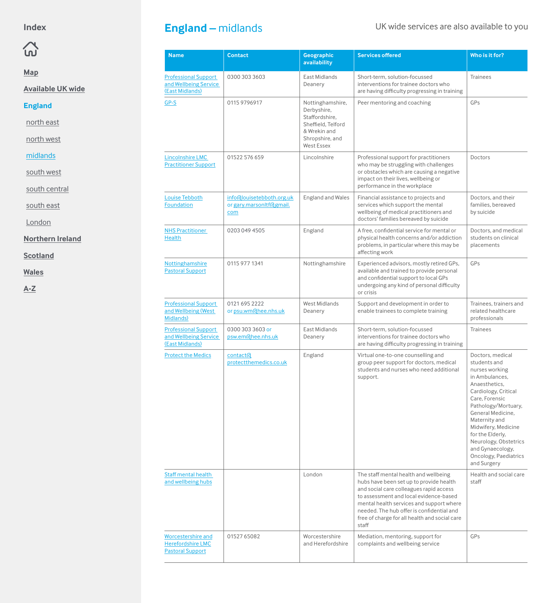## <span id="page-5-0"></span> $\Omega$

**[Map](#page-1-0)**

**[Available UK wide](#page-2-0)**

**England**

[north east](#page-3-0)

[north west](#page-4-0)

midlands

[south west](#page-6-0)

[south central](#page-7-0)

[south east](#page-8-0)

[London](#page-9-0)

**[Northern Ireland](#page-10-0)**

**[Scotland](#page-11-0)**

**[Wales](#page-12-0)**

| <b>Name</b>                                                               | <b>Contact</b>                                               | <b>Geographic</b><br>availability                                                                                               | <b>Services offered</b>                                                                                                                                                                                                                                                                                                  | Who is it for?                                                                                                                                                                                                                                                                                                               |
|---------------------------------------------------------------------------|--------------------------------------------------------------|---------------------------------------------------------------------------------------------------------------------------------|--------------------------------------------------------------------------------------------------------------------------------------------------------------------------------------------------------------------------------------------------------------------------------------------------------------------------|------------------------------------------------------------------------------------------------------------------------------------------------------------------------------------------------------------------------------------------------------------------------------------------------------------------------------|
| <b>Professional Support</b><br>and Wellbeing Service<br>(East Midlands)   | 0300 303 3603                                                | East Midlands<br>Deanery                                                                                                        | Short-term, solution-focussed<br>interventions for trainee doctors who<br>are having difficulty progressing in training                                                                                                                                                                                                  | <b>Trainees</b>                                                                                                                                                                                                                                                                                                              |
| $GP-S$                                                                    | 0115 9796917                                                 | Nottinghamshire,<br>Derbyshire,<br>Staffordshire,<br>Sheffield, Telford<br>& Wrekin and<br>Shropshire, and<br><b>West Essex</b> | Peer mentoring and coaching                                                                                                                                                                                                                                                                                              | GPs                                                                                                                                                                                                                                                                                                                          |
| <b>Lincolnshire LMC</b><br><b>Practitioner Support</b>                    | 01522 576 659                                                | Lincolnshire                                                                                                                    | Professional support for practitioners<br>who may be struggling with challenges<br>or obstacles which are causing a negative<br>impact on their lives, wellbeing or<br>performance in the workplace                                                                                                                      | Doctors                                                                                                                                                                                                                                                                                                                      |
| <b>Louise Tebboth</b><br>Foundation                                       | info@louisetebboth.org.uk<br>or gary.marsonltf@gmail.<br>com | England and Wales                                                                                                               | Financial assistance to projects and<br>services which support the mental<br>wellbeing of medical practitioners and<br>doctors' families bereaved by suicide                                                                                                                                                             | Doctors, and their<br>families, bereaved<br>by suicide                                                                                                                                                                                                                                                                       |
| <b>NHS Practitioner</b><br><b>Health</b>                                  | 0203 049 4505                                                | England                                                                                                                         | A free, confidential service for mental or<br>physical health concerns and/or addiction<br>problems, in particular where this may be<br>affecting work                                                                                                                                                                   | Doctors, and medical<br>students on clinical<br>placements                                                                                                                                                                                                                                                                   |
| Nottinghamshire<br><b>Pastoral Support</b>                                | 0115 977 1341                                                | Nottinghamshire                                                                                                                 | Experienced advisors, mostly retired GPs,<br>available and trained to provide personal<br>and confidential support to local GPs<br>undergoing any kind of personal difficulty<br>or crisis                                                                                                                               | GPs                                                                                                                                                                                                                                                                                                                          |
| <b>Professional Support</b><br>and Wellbeing (West<br>Midlands)           | 0121 695 2222<br>or psu.wm@hee.nhs.uk                        | <b>West Midlands</b><br>Deanery                                                                                                 | Support and development in order to<br>enable trainees to complete training                                                                                                                                                                                                                                              | Trainees, trainers and<br>related healthcare<br>professionals                                                                                                                                                                                                                                                                |
| <b>Professional Support</b><br>and Wellbeing Service<br>(East Midlands)   | 0300 303 3603 or<br>psw.em@hee.nhs.uk                        | East Midlands<br>Deanery                                                                                                        | Short-term, solution-focussed<br>interventions for trainee doctors who<br>are having difficulty progressing in training                                                                                                                                                                                                  | <b>Trainees</b>                                                                                                                                                                                                                                                                                                              |
| <b>Protect the Medics</b>                                                 | contact <sub>(d</sub><br>protectthemedics.co.uk              | England                                                                                                                         | Virtual one-to-one counselling and<br>group peer support for doctors, medical<br>students and nurses who need additional<br>support.                                                                                                                                                                                     | Doctors, medical<br>students and<br>nurses working<br>in Ambulances.<br>Anaesthetics.<br>Cardiology, Critical<br>Care, Forensic<br>Pathology/Mortuary,<br>General Medicine,<br>Maternity and<br>Midwifery, Medicine<br>for the Elderly,<br>Neurology, Obstetrics<br>and Gynaecology,<br>Oncology, Paediatrics<br>and Surgery |
| Staff mental health<br>and wellbeing hubs                                 |                                                              | London                                                                                                                          | The staff mental health and wellbeing<br>hubs have been set up to provide health<br>and social care colleagues rapid access<br>to assessment and local evidence-based<br>mental health services and support where<br>needed. The hub offer is confidential and<br>free of charge for all health and social care<br>staff | Health and social care<br>staff                                                                                                                                                                                                                                                                                              |
| Worcestershire and<br><b>Herefordshire LMC</b><br><b>Pastoral Support</b> | 01527 65082                                                  | Worcestershire<br>and Herefordshire                                                                                             | Mediation, mentoring, support for<br>complaints and wellbeing service                                                                                                                                                                                                                                                    | GPs                                                                                                                                                                                                                                                                                                                          |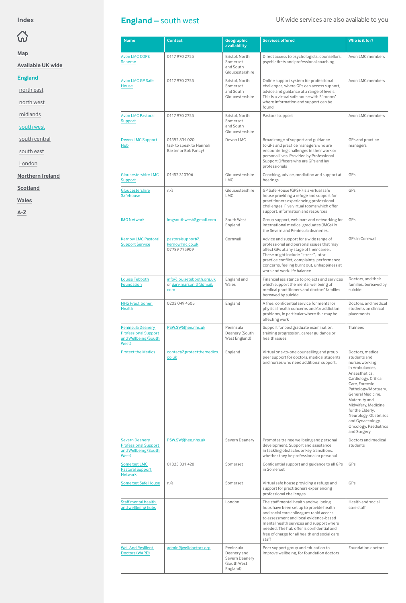# <span id="page-6-0"></span> $\Omega$

**[Map](#page-1-0)**

**[Available UK wide](#page-2-0)**

**England**

[north east](#page-3-0)

[north west](#page-4-0)

[midlands](#page-5-0)

south west

[south central](#page-7-0)

[south east](#page-8-0)

[London](#page-9-0)

**[Northern Ireland](#page-10-0)**

**[Scotland](#page-11-0)**

**[Wales](#page-12-0)**

**[A-Z](#page-13-0)**

### England – south west UK wide services are also available to you

| <b>Name</b>                                                                              | <b>Contact</b>                                                   | Geographic<br>availability                                 | <b>Services offered</b>                                                                                                                                                                                                                                                                            | Who is it for?                                                                                                                                                                                                                                                                                                               |
|------------------------------------------------------------------------------------------|------------------------------------------------------------------|------------------------------------------------------------|----------------------------------------------------------------------------------------------------------------------------------------------------------------------------------------------------------------------------------------------------------------------------------------------------|------------------------------------------------------------------------------------------------------------------------------------------------------------------------------------------------------------------------------------------------------------------------------------------------------------------------------|
| <b>Avon LMC COPE</b><br><b>Scheme</b>                                                    | 0117 970 2755                                                    | Bristol, North<br>Somerset<br>and South<br>Gloucestershire | Direct access to psychologists, counsellors,<br>psychiatirsts and professional coaching                                                                                                                                                                                                            | Avon LMC members                                                                                                                                                                                                                                                                                                             |
| <b>Avon LMC GP Safe</b><br>House                                                         | 0117 970 2755                                                    | Bristol, North<br>Somerset<br>and South<br>Gloucestershire | Online support system for professional<br>challenges, where GPs can access support,<br>advice and guidance at a range of levels.<br>This is a virtual safe house with 5 'rooms'<br>where information and support can be<br>found                                                                   | Avon LMC members                                                                                                                                                                                                                                                                                                             |
| <b>Avon LMC Pastoral</b><br>Support                                                      | 0117 970 2755                                                    | Bristol, North<br>Somerset<br>and South<br>Gloucestershire | Pastoral support                                                                                                                                                                                                                                                                                   | Avon LMC members                                                                                                                                                                                                                                                                                                             |
| <b>Devon LMC Support</b><br>Hub                                                          | 01392 834 020<br>(ask to speak to Hannah<br>Baxter or Bob Fancy) | Devon LMC                                                  | Broad range of support and guidance<br>to GPs and practice managers who are<br>encountering challenges in their work or<br>personal lives. Provided by Professional<br>Support Officers who are GPs and lay<br>professionals                                                                       | GPs and practice<br>managers                                                                                                                                                                                                                                                                                                 |
| <b>Gloucestershire LMC</b><br>Support                                                    | 01452 310706                                                     | Gloucestershire<br><b>LMC</b>                              | Coaching, advice, mediation and support at<br>hearings                                                                                                                                                                                                                                             | GPs                                                                                                                                                                                                                                                                                                                          |
| Gloucestershire<br>Safehouse                                                             | n/a                                                              | Gloucestershire<br>LMC                                     | GP Safe House (GPSH) is a virtual safe<br>house providing a refuge and support for<br>practitioners experiencing professional<br>challenges. Five virtual rooms which offer<br>support, information and resources                                                                                  | GPs                                                                                                                                                                                                                                                                                                                          |
| <b>IMG Network</b>                                                                       | imgsouthwest@gmail.com                                           | South West<br>England                                      | Group support, webinars and networking for<br>international medical graduates (IMGs) in<br>the Severn and Peninsula deaneries.                                                                                                                                                                     | GPs                                                                                                                                                                                                                                                                                                                          |
| <b>Kernow LMC Pastoral</b><br><b>Support Service</b>                                     | pastoralsupport <sub>f</sub><br>kernowlmc.co.uk<br>07789 775909  | Cornwall                                                   | Advice and support for a wide range of<br>professional and personal issues that may<br>affect GPs at any stage of their career.<br>These might include "stress", intra-<br>practice conflict, complaints, performance<br>concerns, feeling burnt out, unhappiness at<br>work and work-life balance | <b>GPs in Cornwall</b>                                                                                                                                                                                                                                                                                                       |
| Louise Tebboth<br>Foundation                                                             | info@louisetebboth.org.uk<br>or gary.marsonltf@gmail.<br>com     | England and<br>Wales                                       | Financial assistance to projects and services<br>which support the mental wellbeing of<br>medical practitioners and doctors' families<br>bereaved by suicide                                                                                                                                       | Doctors, and their<br>families, bereaved by<br>suicide                                                                                                                                                                                                                                                                       |
| <b>NHS Practitioner</b><br><b>Health</b>                                                 | 0203 049 4505                                                    | England                                                    | A free, confidential service for mental or<br>physical health concerns and/or addiction<br>problems, in particular where this may be<br>affecting work                                                                                                                                             | Doctors, and medical<br>students on clinical<br>placements                                                                                                                                                                                                                                                                   |
| <b>Peninsula Deanery</b><br><b>Professional Support</b><br>and Wellbeing (South<br>West) | PSW.SW@hee.nhs.uk                                                | Peninsula<br>Deanery (South<br>West England)               | Support for postgraduate examination,<br>training progression, career guidance or<br>health issues                                                                                                                                                                                                 | <b>Trainees</b>                                                                                                                                                                                                                                                                                                              |
| <b>Protect the Medics</b>                                                                | contact@protectthemedics.<br>co.uk                               | England                                                    | Virtual one-to-one counselling and group<br>peer support for doctors, medical students<br>and nurses who need additional support.                                                                                                                                                                  | Doctors, medical<br>students and<br>nurses working<br>in Ambulances.<br>Anaesthetics.<br>Cardiology, Critical<br>Care, Forensic<br>Pathology/Mortuary,<br>General Medicine,<br>Maternity and<br>Midwifery, Medicine<br>for the Elderly,<br>Neurology, Obstetrics<br>and Gynaecology,<br>Oncology, Paediatrics<br>and Surgery |

| <b>Severn Deanery</b><br><b>Professional Support</b><br>and Wellbeing (South)<br>West) | PSW.SW@hee.nhs.uk     | Severn Deanery                                                         | Promotes trainee wellbeing and personal<br>development. Support and assistance<br>in tackling obstacles or key transitions,<br>whether they be professional or personal                                                                                                                                                  | Doctors and medical<br>students |
|----------------------------------------------------------------------------------------|-----------------------|------------------------------------------------------------------------|--------------------------------------------------------------------------------------------------------------------------------------------------------------------------------------------------------------------------------------------------------------------------------------------------------------------------|---------------------------------|
| Somerset LMC<br><b>Pastoral Support</b><br><b>Network</b>                              | 01823 331 428         | Somerset                                                               | Confidential support and guidance to all GPs<br>in Somerset                                                                                                                                                                                                                                                              | GPs                             |
| <b>Somerset Safe House</b>                                                             | n/a                   | Somerset                                                               | Virtual safe house providing a refuge and<br>support for practitioners experiencing<br>professional challenges                                                                                                                                                                                                           | GPs                             |
| Staff mental health<br>and wellbeing hubs                                              |                       | London                                                                 | The staff mental health and wellbeing<br>hubs have been set up to provide health<br>and social care colleagues rapid access<br>to assessment and local evidence-based<br>mental health services and support where<br>needed. The hub offer is confidential and<br>free of charge for all health and social care<br>staff | Health and social<br>care staff |
| <b>Well And Resilient</b><br>Doctors (WARD)                                            | admin@welldoctors.org | Peninsula<br>Deanery and<br>Severn Deanery<br>(South West)<br>England) | Peer support group and education to<br>improve wellbeing, for foundation doctors                                                                                                                                                                                                                                         | Foundation doctors              |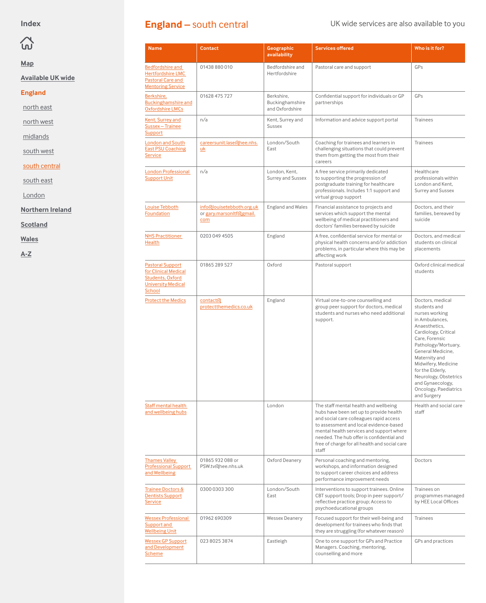## <span id="page-7-0"></span> $\Omega$

**[Map](#page-1-0)**

#### **[Available UK wide](#page-2-0)**

#### **England**

[north east](#page-3-0)

[north west](#page-4-0)

[midlands](#page-5-0)

[south west](#page-6-0)

south central

[south east](#page-8-0)

[London](#page-9-0)

**[Northern Ireland](#page-10-0)**

**[Scotland](#page-11-0)**

**[Wales](#page-12-0)**

**[A-Z](#page-13-0)**

### **England – south central** UK wide services are also available to you

| <b>Name</b>                                                                                                       | <b>Contact</b>                                               | Geographic<br>availability                       | <b>Services offered</b>                                                                                                                                                                                                                                                                                                  | Who is it for?                                                                                                                                                                                                                                                                                                               |
|-------------------------------------------------------------------------------------------------------------------|--------------------------------------------------------------|--------------------------------------------------|--------------------------------------------------------------------------------------------------------------------------------------------------------------------------------------------------------------------------------------------------------------------------------------------------------------------------|------------------------------------------------------------------------------------------------------------------------------------------------------------------------------------------------------------------------------------------------------------------------------------------------------------------------------|
| <b>Bedfordshire and</b><br><b>Hertfordshire LMC</b><br>Pastoral Care and<br><b>Mentoring Service</b>              | 01438 880 010                                                | Bedfordshire and<br>Hertfordshire                | Pastoral care and support                                                                                                                                                                                                                                                                                                | GPs                                                                                                                                                                                                                                                                                                                          |
| Berkshire,<br><b>Buckinghamshire and</b><br><b>Oxfordshire LMCs</b>                                               | 01628 475 727                                                | Berkshire.<br>Buckinghamshire<br>and Oxfordshire | Confidential support for individuals or GP<br>partnerships                                                                                                                                                                                                                                                               | GPs                                                                                                                                                                                                                                                                                                                          |
| <b>Kent, Surrey and</b><br>Sussex - Trainee<br>Support                                                            | n/a                                                          | Kent, Surrey and<br><b>Sussex</b>                | Information and advice support portal                                                                                                                                                                                                                                                                                    | <b>Trainees</b>                                                                                                                                                                                                                                                                                                              |
| <b>London and South</b><br><b>East PSU Coaching</b><br><b>Service</b>                                             | careersunit.lase@hee.nhs.<br><b>uk</b>                       | London/South<br>East                             | Coaching for trainees and learners in<br>challenging situations that could prevent<br>them from getting the most from their<br>careers                                                                                                                                                                                   | <b>Trainees</b>                                                                                                                                                                                                                                                                                                              |
| <b>London Professional</b><br><b>Support Unit</b>                                                                 | n/a                                                          | London, Kent,<br>Surrey and Sussex               | A free service primarily dedicated<br>to supporting the progression of<br>postgraduate training for healthcare<br>professionals. Includes 1:1 support and<br>virtual group support                                                                                                                                       | Healthcare<br>professionals within<br>London and Kent.<br>Surrey and Sussex                                                                                                                                                                                                                                                  |
| Louise Tebboth<br>Foundation                                                                                      | info@louisetebboth.org.uk<br>or gary.marsonltf@gmail.<br>com | England and Wales                                | Financial assistance to projects and<br>services which support the mental<br>wellbeing of medical practitioners and<br>doctors' families bereaved by suicide                                                                                                                                                             | Doctors, and their<br>families, bereaved by<br>suicide                                                                                                                                                                                                                                                                       |
| <b>NHS Practitioner</b><br>Health                                                                                 | 0203 049 4505                                                | England                                          | A free, confidential service for mental or<br>physical health concerns and/or addiction<br>problems, in particular where this may be<br>affecting work                                                                                                                                                                   | Doctors, and medical<br>students on clinical<br>placements                                                                                                                                                                                                                                                                   |
| <b>Pastoral Support</b><br>for Clinical Medical<br><b>Students, Oxford</b><br><b>University Medical</b><br>School | 01865 289 527                                                | Oxford                                           | Pastoral support                                                                                                                                                                                                                                                                                                         | Oxford clinical medical<br>students                                                                                                                                                                                                                                                                                          |
| <b>Protect the Medics</b>                                                                                         | contact <sub>(d</sub><br>protectthemedics.co.uk              | England                                          | Virtual one-to-one counselling and<br>group peer support for doctors, medical<br>students and nurses who need additional<br>support.                                                                                                                                                                                     | Doctors, medical<br>students and<br>nurses working<br>in Ambulances.<br>Anaesthetics.<br>Cardiology, Critical<br>Care, Forensic<br>Pathology/Mortuary,<br>General Medicine.<br>Maternity and<br>Midwifery, Medicine<br>for the Elderly,<br>Neurology, Obstetrics<br>and Gynaecology,<br>Oncology, Paediatrics<br>and Surgery |
| Staff mental health<br>and wellbeing hubs                                                                         |                                                              | London                                           | The staff mental health and wellbeing<br>hubs have been set up to provide health<br>and social care colleagues rapid access<br>to assessment and local evidence-based<br>mental health services and support where<br>needed. The hub offer is confidential and<br>free of charge for all health and social care<br>staff | Health and social care<br>staff                                                                                                                                                                                                                                                                                              |
| <b>Thames Valley</b><br><b>Professional Support</b><br>and Wellbeing                                              | 01865 932 088 or<br>PSW.tv@hee.nhs.uk                        | Oxford Deanery                                   | Personal coaching and mentoring,<br>workshops, and information designed<br>to support career choices and address<br>performance improvement needs                                                                                                                                                                        | Doctors                                                                                                                                                                                                                                                                                                                      |
| <b>Trainee Doctors &amp;</b><br><b>Dentists Support</b><br><b>Service</b>                                         | 0300 0303 300                                                | London/South<br>East                             | Interventions to support trainees. Online<br>CBT support tools; Drop in peer support/<br>reflective practice group; Access to<br>psychoeducational groups                                                                                                                                                                | Trainees on<br>programmes managed<br>by HEE Local Offices                                                                                                                                                                                                                                                                    |
| <b>Wessex Professional</b><br>Support and<br><b>Wellbeing Unit</b>                                                | 01962 690309                                                 | <b>Wessex Deanery</b>                            | Focused support for their well-being and<br>development for trainees who finds that<br>they are struggling (for whatever reason)                                                                                                                                                                                         | <b>Trainees</b>                                                                                                                                                                                                                                                                                                              |
| <b>Wessex GP Support</b><br>and Development<br><b>Scheme</b>                                                      | 023 8025 3874                                                | Eastleigh                                        | One to one support for GPs and Practice<br>Managers. Coaching, mentoring,<br>counselling and more                                                                                                                                                                                                                        | GPs and practices                                                                                                                                                                                                                                                                                                            |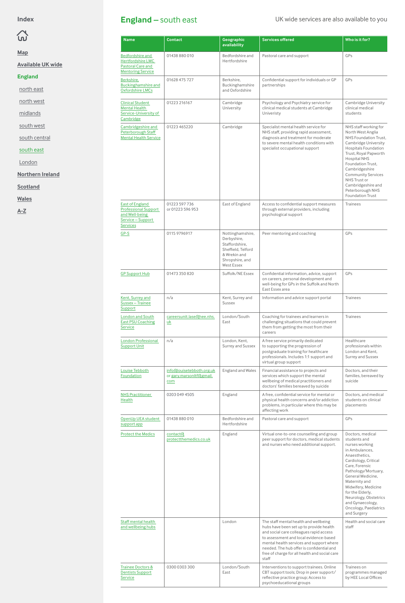# <span id="page-8-0"></span> $\widehat{\omega}$

**[Map](#page-1-0)**

**[Available UK wide](#page-2-0)**

#### **England**

[north east](#page-3-0)

[north west](#page-4-0)

[midlands](#page-5-0)

[south west](#page-6-0)

[south central](#page-7-0)

#### south east

[London](#page-9-0)

**[Northern Ireland](#page-10-0)**

**[Scotland](#page-11-0)**

**[Wales](#page-12-0)**

**[A-Z](#page-13-0)**

### England – south east UK wide services are also available to you

| <b>Name</b>                                                                                                   | <b>Contact</b>                                               | Geographic<br>availability                                                                                               | <b>Services offered</b>                                                                                                                                                                                                                                                                                                  | Who is it for?                                                                                                                                                                                                                                                                                                                      |
|---------------------------------------------------------------------------------------------------------------|--------------------------------------------------------------|--------------------------------------------------------------------------------------------------------------------------|--------------------------------------------------------------------------------------------------------------------------------------------------------------------------------------------------------------------------------------------------------------------------------------------------------------------------|-------------------------------------------------------------------------------------------------------------------------------------------------------------------------------------------------------------------------------------------------------------------------------------------------------------------------------------|
| Bedfordshire and<br><b>Hertfordshire LMC</b><br><b>Pastoral Care and</b><br><b>Mentoring Service</b>          | 01438 880 010                                                | Bedfordshire and<br>Hertfordshire                                                                                        | Pastoral care and support                                                                                                                                                                                                                                                                                                | GPs                                                                                                                                                                                                                                                                                                                                 |
| Berkshire,<br><b>Buckinghamshire and</b><br><b>Oxfordshire LMCs</b>                                           | 01628 475 727                                                | Berkshire.<br>Buckinghamshire<br>and Oxfordshire                                                                         | Confidential support for individuals or GP<br>partnerships                                                                                                                                                                                                                                                               | GPs                                                                                                                                                                                                                                                                                                                                 |
| <b>Clinical Student</b><br><b>Mental Health</b><br>Service-University of<br>Cambridge                         | 01223 216167                                                 | Cambridge<br>University                                                                                                  | Psychology and Psychiatry service for<br>clinical medical students at Cambridge<br>Univeristy                                                                                                                                                                                                                            | Cambridge University<br>clinical medical<br>students                                                                                                                                                                                                                                                                                |
| Cambridgeshire and<br>Peterborough Staff<br><b>Mental Health Service</b>                                      | 01223 465220                                                 | Cambridge                                                                                                                | Specialist mental health service for<br>NHS staff, providing rapid assessment,<br>diagnosis and treatment for moderate<br>to severe mental health conditions with<br>specialist occupational support                                                                                                                     | NHS staff working for<br>North West Anglia<br>NHS Foundation Trust,<br>Cambridge University<br><b>Hospitals Foundation</b><br>Trust, Royal Papworth<br><b>Hospital NHS</b><br>Foundation Trust.<br>Cambridgeshire<br><b>Community Services</b><br>NHS Trust or<br>Cambridgeshire and<br>Peterborough NHS<br><b>Foundation Trust</b> |
| <b>East of England</b><br><b>Professional Support</b><br>and Well-being<br>Service-Support<br><b>Services</b> | 01223 597 736<br>or 01223 596 953                            | East of England                                                                                                          | Access to confidential support measures<br>through external providers, including<br>psychological support                                                                                                                                                                                                                | <b>Trainees</b>                                                                                                                                                                                                                                                                                                                     |
| $GP-S$                                                                                                        | 0115 9796917                                                 | Nottinghamshire,<br>Derbyshire,<br>Staffordshire,<br>Sheffield, Telford<br>& Wrekin and<br>Shropshire, and<br>West Essex | Peer mentoring and coaching                                                                                                                                                                                                                                                                                              | GPs                                                                                                                                                                                                                                                                                                                                 |
| <b>GP Support Hub</b>                                                                                         | 01473 350 820                                                | Suffolk/NE Essex                                                                                                         | Confidential information, advice, support<br>on careers, personal development and<br>well-being for GPs in the Suffolk and North<br>East Essex area                                                                                                                                                                      | GPs                                                                                                                                                                                                                                                                                                                                 |
| Kent, Surrey and<br>Sussex - Trainee<br>Support                                                               | n/a                                                          | Kent, Surrey and<br><b>Sussex</b>                                                                                        | Information and advice support portal                                                                                                                                                                                                                                                                                    | <b>Trainees</b>                                                                                                                                                                                                                                                                                                                     |
| <b>London and South</b><br><b>East PSU Coaching</b><br><b>Service</b>                                         | careersunit.lase@hee.nhs.<br>uk                              | London/South<br>East                                                                                                     | Coaching for trainees and learners in<br>challenging situations that could prevent<br>them from getting the most from their<br>careers                                                                                                                                                                                   | <b>Trainees</b>                                                                                                                                                                                                                                                                                                                     |
| <b>London Professional</b><br><b>Support Unit</b>                                                             | n/a                                                          | London, Kent,<br>Surrey and Sussex                                                                                       | A free service primarily dedicated<br>to supporting the progression of<br>postgraduate training for healthcare<br>professionals. Includes 1:1 support and<br>virtual group support                                                                                                                                       | Healthcare<br>professionals within<br>London and Kent,<br>Surrey and Sussex                                                                                                                                                                                                                                                         |
| Louise Tebboth<br>Foundation                                                                                  | info@louisetebboth.org.uk<br>or gary.marsonltf@gmail.<br>com | England and Wales                                                                                                        | Financial assistance to projects and<br>services which support the mental<br>wellbeing of medical practitioners and<br>doctors' families bereaved by suicide                                                                                                                                                             | Doctors, and their<br>families, bereaved by<br>suicide                                                                                                                                                                                                                                                                              |
| <b>NHS Practitioner</b><br>Health                                                                             | 0203 049 4505                                                | England                                                                                                                  | A free, confidential service for mental or<br>physical health concerns and/or addiction<br>problems, in particular where this may be<br>affecting work                                                                                                                                                                   | Doctors, and medical<br>students on clinical<br>placements                                                                                                                                                                                                                                                                          |
| OpenUp UEA student<br>support app                                                                             | 01438 880 010                                                | Bedfordshire and<br>Hertfordshire                                                                                        | Pastoral care and support                                                                                                                                                                                                                                                                                                | GPs                                                                                                                                                                                                                                                                                                                                 |
| <b>Protect the Medics</b>                                                                                     | contact <sub>(d</sub><br>protectthemedics.co.uk              | England                                                                                                                  | Virtual one-to-one counselling and group<br>peer support for doctors, medical students<br>and nurses who need additional support.                                                                                                                                                                                        | Doctors, medical<br>students and<br>nurses working<br>in Ambulances.<br>Anaesthetics.<br>Cardiology, Critical<br>Care, Forensic<br>Pathology/Mortuary,<br>General Medicine.<br>Maternity and<br>Midwifery, Medicine<br>for the Elderly,<br>Neurology, Obstetrics<br>and Gynaecology,<br>Oncology, Paediatrics<br>and Surgery        |
| Staff mental health<br>and wellbeing hubs                                                                     |                                                              | London                                                                                                                   | The staff mental health and wellbeing<br>hubs have been set up to provide health<br>and social care colleagues rapid access<br>to assessment and local evidence-based<br>mental health services and support where<br>needed. The hub offer is confidential and<br>free of charge for all health and social care<br>staff | Health and social care<br>staff                                                                                                                                                                                                                                                                                                     |
| <b>Trainee Doctors &amp;</b><br><b>Dentists Support</b><br><b>Service</b>                                     | 0300 0303 300                                                | London/South<br>East                                                                                                     | Interventions to support trainees. Online<br>CBT support tools; Drop in peer support/<br>reflective practice group; Access to<br>psychoeducational groups                                                                                                                                                                | Trainees on<br>programmes managed<br>by HEE Local Offices                                                                                                                                                                                                                                                                           |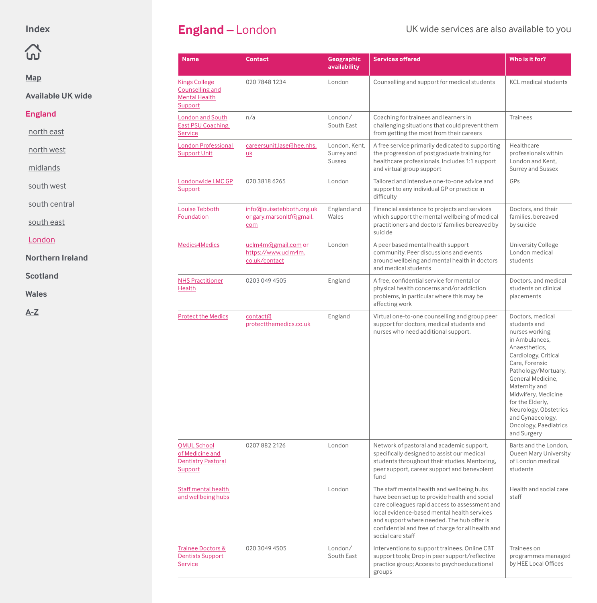## <span id="page-9-0"></span> $\Omega$

#### **[Map](#page-1-0)**

**[Available UK wide](#page-2-0)**

#### **England**

[north east](#page-3-0)

[north west](#page-4-0)

[midlands](#page-5-0)

[south west](#page-6-0)

[south central](#page-7-0)

[south east](#page-8-0)

London

**[Northern Ireland](#page-10-0)**

**[Scotland](#page-11-0)**

**[Wales](#page-12-0)**

| <b>Name</b>                                                                   | <b>Contact</b>                                               | Geographic<br>availability                   | <b>Services offered</b>                                                                                                                                                                                                                                                                                               | Who is it for?                                                                                                                                                                                                                                                                                                               |
|-------------------------------------------------------------------------------|--------------------------------------------------------------|----------------------------------------------|-----------------------------------------------------------------------------------------------------------------------------------------------------------------------------------------------------------------------------------------------------------------------------------------------------------------------|------------------------------------------------------------------------------------------------------------------------------------------------------------------------------------------------------------------------------------------------------------------------------------------------------------------------------|
| Kings College<br>Counselling and<br><b>Mental Health</b><br>Support           | 020 7848 1234                                                | London                                       | Counselling and support for medical students                                                                                                                                                                                                                                                                          | <b>KCL</b> medical students                                                                                                                                                                                                                                                                                                  |
| London and South<br><b>East PSU Coaching</b><br><b>Service</b>                | n/a                                                          | London/<br>South East                        | Coaching for trainees and learners in<br>challenging situations that could prevent them<br>from getting the most from their careers                                                                                                                                                                                   | <b>Trainees</b>                                                                                                                                                                                                                                                                                                              |
| <b>London Professional</b><br><b>Support Unit</b>                             | careersunit.lase@hee.nhs.<br>uk                              | London, Kent.<br>Surrey and<br><b>Sussex</b> | A free service primarily dedicated to supporting<br>the progression of postgraduate training for<br>healthcare professionals. Includes 1:1 support<br>and virtual group support                                                                                                                                       | Healthcare<br>professionals within<br>London and Kent,<br>Surrey and Sussex                                                                                                                                                                                                                                                  |
| Londonwide LMC GP<br>Support                                                  | 020 3818 6265                                                | London                                       | Tailored and intensive one-to-one advice and<br>support to any individual GP or practice in<br>difficulty                                                                                                                                                                                                             | GPs                                                                                                                                                                                                                                                                                                                          |
| Louise Tebboth<br><b>Foundation</b>                                           | info@louisetebboth.org.uk<br>or gary.marsonltf@gmail.<br>com | England and<br>Wales                         | Financial assistance to projects and services<br>which support the mental wellbeing of medical<br>practitioners and doctors' families bereaved by<br>suicide                                                                                                                                                          | Doctors, and their<br>families, bereaved<br>by suicide                                                                                                                                                                                                                                                                       |
| Medics4Medics                                                                 | uclm4m@gmail.com or<br>https://www.uclm4m.<br>co.uk/contact  | London                                       | A peer based mental health support<br>community. Peer discussions and events<br>around wellbeing and mental health in doctors<br>and medical students                                                                                                                                                                 | <b>University College</b><br>London medical<br>students                                                                                                                                                                                                                                                                      |
| <b>NHS Practitioner</b><br><b>Health</b>                                      | 0203 049 4505                                                | England                                      | A free, confidential service for mental or<br>physical health concerns and/or addiction<br>problems, in particular where this may be<br>affecting work                                                                                                                                                                | Doctors, and medical<br>students on clinical<br>placements                                                                                                                                                                                                                                                                   |
| <b>Protect the Medics</b>                                                     | contact <sub>(d</sub><br>protectthemedics.co.uk              | England                                      | Virtual one-to-one counselling and group peer<br>support for doctors, medical students and<br>nurses who need additional support.                                                                                                                                                                                     | Doctors, medical<br>students and<br>nurses working<br>in Ambulances.<br>Anaesthetics.<br>Cardiology, Critical<br>Care, Forensic<br>Pathology/Mortuary,<br>General Medicine,<br>Maternity and<br>Midwifery, Medicine<br>for the Elderly,<br>Neurology, Obstetrics<br>and Gynaecology,<br>Oncology, Paediatrics<br>and Surgery |
| <b>QMUL School</b><br>of Medicine and<br><b>Dentistry Pastoral</b><br>Support | 02078822126                                                  | London                                       | Network of pastoral and academic support,<br>specifically designed to assist our medical<br>students throughout their studies. Mentoring,<br>peer support, career support and benevolent<br>fund                                                                                                                      | Barts and the London,<br>Queen Mary University<br>of London medical<br>students                                                                                                                                                                                                                                              |
| Staff mental health<br>and wellbeing hubs                                     |                                                              | London                                       | The staff mental health and wellbeing hubs<br>have been set up to provide health and social<br>care colleagues rapid access to assessment and<br>local evidence-based mental health services<br>and support where needed. The hub offer is<br>confidential and free of charge for all health and<br>social care staff | Health and social care<br>staff                                                                                                                                                                                                                                                                                              |
| Trainee Doctors &<br><b>Dentists Support</b><br>Service                       | 020 3049 4505                                                | London/<br>South East                        | Interventions to support trainees. Online CBT<br>support tools; Drop in peer support/reflective<br>practice group; Access to psychoeducational<br>groups                                                                                                                                                              | Trainees on<br>programmes managed<br>by HEE Local Offices                                                                                                                                                                                                                                                                    |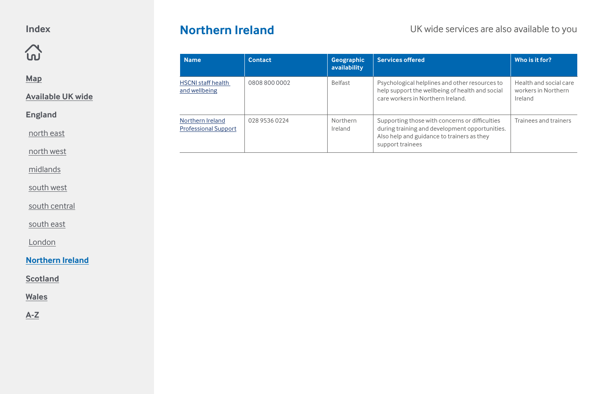### <span id="page-10-0"></span> $\Omega$

**[Map](#page-1-0)**

**[Available UK wide](#page-2-0)**

**England**

[north east](#page-3-0)

[north west](#page-4-0)

[midlands](#page-5-0)

[south west](#page-6-0)

[south central](#page-7-0)

[south east](#page-8-0)

[London](#page-9-0)

#### **Northern Ireland**

**[Scotland](#page-11-0)**

**[Wales](#page-12-0)**

**[A-Z](#page-13-0)**

### **Northern Ireland** UK wide services are also available to you

| <b>Name</b>                                     | <b>Contact</b> | Geographic<br>availability | <b>Services offered</b>                                                                                                                                            | Who is it for?                                           |
|-------------------------------------------------|----------------|----------------------------|--------------------------------------------------------------------------------------------------------------------------------------------------------------------|----------------------------------------------------------|
| <b>HSCNI</b> staff health<br>and wellbeing      | 0808 800 0002  | <b>Belfast</b>             | Psychological helplines and other resources to<br>help support the wellbeing of health and social<br>care workers in Northern Ireland.                             | Health and social care<br>workers in Northern<br>Ireland |
| Northern Ireland<br><b>Professional Support</b> | 028 9536 0224  | Northern<br>Ireland        | Supporting those with concerns or difficulties<br>during training and development opportunities.<br>Also help and guidance to trainers as they<br>support trainees | Trainees and trainers                                    |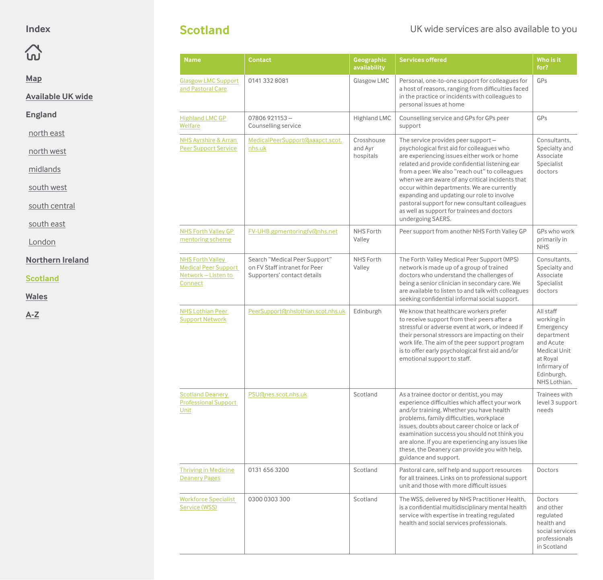<span id="page-11-0"></span>

#### **[Map](#page-1-0)**

**[Available UK wide](#page-2-0)**

#### **England**

[north east](#page-3-0)

[north west](#page-4-0)

[midlands](#page-5-0)

[south west](#page-6-0)

[south central](#page-7-0)

[south east](#page-8-0)

[London](#page-9-0)

#### **[Northern Ireland](#page-10-0)**

**Scotland**

**[Wales](#page-12-0)**

**[A-Z](#page-13-0)**

#### **Scotland** UK wide services are also available to you

| <b>Name</b>                                                                              | <b>Contact</b>                                                                                | Geographic<br>availability         | <b>Services offered</b>                                                                                                                                                                                                                                                                                                                                                                                                                                                                                    | Who is it<br>for?                                                                                                                                |
|------------------------------------------------------------------------------------------|-----------------------------------------------------------------------------------------------|------------------------------------|------------------------------------------------------------------------------------------------------------------------------------------------------------------------------------------------------------------------------------------------------------------------------------------------------------------------------------------------------------------------------------------------------------------------------------------------------------------------------------------------------------|--------------------------------------------------------------------------------------------------------------------------------------------------|
| <b>Glasgow LMC Support</b><br>and Pastoral Care                                          | 0141 332 8081                                                                                 | Glasgow LMC                        | Personal, one-to-one support for colleagues for<br>a host of reasons, ranging from difficulties faced<br>in the practice or incidents with colleagues to<br>personal issues at home                                                                                                                                                                                                                                                                                                                        | GPs                                                                                                                                              |
| <b>Highland LMC GP</b><br>Welfare                                                        | $07806921153 -$<br>Counselling service                                                        | Highland LMC                       | Counselling service and GPs for GPs peer<br>support                                                                                                                                                                                                                                                                                                                                                                                                                                                        | GPs                                                                                                                                              |
| <b>NHS Ayrshire &amp; Arran</b><br><b>Peer Support Service</b>                           | MedicalPeerSupport@aaapct.scot.<br>nhs.uk                                                     | Crosshouse<br>and Ayr<br>hospitals | The service provides peer support -<br>psychological first aid for colleagues who<br>are experiencing issues either work or home<br>related and provide confidential listening ear<br>from a peer. We also "reach out" to colleagues<br>when we are aware of any critical incidents that<br>occur within departments. We are currently<br>expanding and updating our role to involve<br>pastoral support for new consultant colleagues<br>as well as support for trainees and doctors<br>undergoing SAERS. | Consultants,<br>Specialty and<br>Associate<br>Specialist<br>doctors                                                                              |
| <b>NHS Forth Valley GP</b><br>mentoring scheme                                           | FV-UHB.gpmentoringfv@nhs.net                                                                  | <b>NHS Forth</b><br>Valley         | Peer support from another NHS Forth Valley GP                                                                                                                                                                                                                                                                                                                                                                                                                                                              | GPs who work<br>primarily in<br><b>NHS</b>                                                                                                       |
| <b>NHS Forth Valley</b><br><b>Medical Peer Support</b><br>Network - Listen to<br>Connect | Search "Medical Peer Support"<br>on FV Staff intranet for Peer<br>Supporters' contact details | <b>NHS Forth</b><br>Valley         | The Forth Valley Medical Peer Support (MPS)<br>network is made up of a group of trained<br>doctors who understand the challenges of<br>being a senior clinician in secondary care. We<br>are available to listen to and talk with colleagues<br>seeking confidential informal social support.                                                                                                                                                                                                              | Consultants,<br>Specialty and<br>Associate<br>Specialist<br>doctors                                                                              |
| <b>NHS Lothian Peer</b><br><b>Support Network</b>                                        | PeerSupport@nhslothian.scot.nhs.uk                                                            | Edinburgh                          | We know that healthcare workers prefer<br>to receive support from their peers after a<br>stressful or adverse event at work, or indeed if<br>their personal stressors are impacting on their<br>work life. The aim of the peer support program<br>is to offer early psychological first aid and/or<br>emotional support to staff.                                                                                                                                                                          | All staff<br>working in<br>Emergency<br>department<br>and Acute<br><b>Medical Unit</b><br>at Royal<br>Infirmary of<br>Edinburgh,<br>NHS Lothian. |
| <b>Scotland Deanery</b><br><b>Professional Support</b><br>Unit                           | PSU@nes.scot.nhs.uk                                                                           | Scotland                           | As a trainee doctor or dentist, you may<br>experience difficulties which affect your work<br>and/or training. Whether you have health<br>problems, family difficulties, workplace<br>issues, doubts about career choice or lack of<br>examination success you should not think you<br>are alone. If you are experiencing any issues like<br>these, the Deanery can provide you with help,<br>guidance and support.                                                                                         | Trainees with<br>level 3 support<br>needs                                                                                                        |
| <b>Thriving in Medicine</b><br><b>Deanery Pages</b>                                      | 0131 656 3200                                                                                 | Scotland                           | Pastoral care, self help and support resources<br>for all trainees. Links on to professional support<br>unit and those with more difficult issues                                                                                                                                                                                                                                                                                                                                                          | Doctors                                                                                                                                          |
| <b>Workforce Specialist</b><br>Service (WSS)                                             | 0300 0303 300                                                                                 | Scotland                           | The WSS, delivered by NHS Practitioner Health,<br>is a confidential multidisciplinary mental health<br>service with expertise in treating regulated<br>health and social services professionals.                                                                                                                                                                                                                                                                                                           | Doctors<br>and other<br>regulated<br>health and<br>social services<br>professionals<br>in Scotland                                               |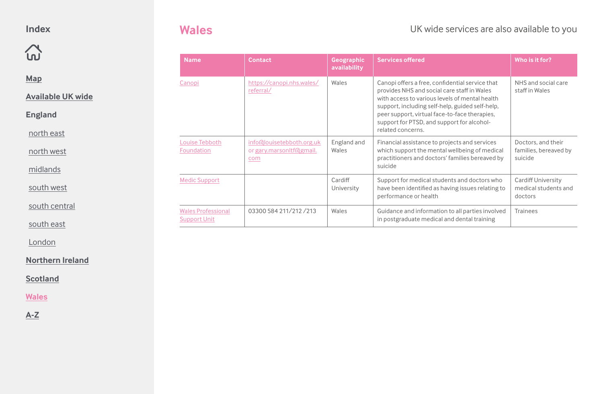<span id="page-12-0"></span> $\Omega$ 

**[Map](#page-1-0)**

**[Available UK wide](#page-2-0)**

**England**

[north east](#page-3-0)

[north west](#page-4-0)

[midlands](#page-5-0)

[south west](#page-6-0)

[south central](#page-7-0)

[south east](#page-8-0)

[London](#page-9-0)

**[Northern Ireland](#page-10-0)**

**[Scotland](#page-11-0)**

**Wales**

| <b>Name</b>                                      | <b>Contact</b>                                               | Geographic<br>availability | <b>Services offered</b>                                                                                                                                                                                                                                                                                                 | Who is it for?                                               |
|--------------------------------------------------|--------------------------------------------------------------|----------------------------|-------------------------------------------------------------------------------------------------------------------------------------------------------------------------------------------------------------------------------------------------------------------------------------------------------------------------|--------------------------------------------------------------|
| Canopi                                           | https://canopi.nhs.wales/<br>referral/                       | Wales                      | Canopi offers a free, confidential service that<br>provides NHS and social care staff in Wales<br>with access to various levels of mental health<br>support, including self-help, guided self-help,<br>peer support, virtual face-to-face therapies,<br>support for PTSD, and support for alcohol-<br>related concerns. | NHS and social care<br>staff in Wales                        |
| Louise Tebboth<br>Foundation                     | info@louisetebboth.org.uk<br>or gary.marsonltf@gmail.<br>com | England and<br>Wales       | Financial assistance to projects and services<br>which support the mental wellbeing of medical<br>practitioners and doctors' families bereaved by<br>suicide                                                                                                                                                            | Doctors, and their<br>families, bereaved by<br>suicide       |
| <b>Medic Support</b>                             |                                                              | Cardiff<br>University      | Support for medical students and doctors who<br>have been identified as having issues relating to<br>performance or health                                                                                                                                                                                              | <b>Cardiff University</b><br>medical students and<br>doctors |
| <b>Wales Professional</b><br><b>Support Unit</b> | 03300 584 211/212 /213                                       | Wales                      | Guidance and information to all parties involved<br>in postgraduate medical and dental training                                                                                                                                                                                                                         | Trainees                                                     |